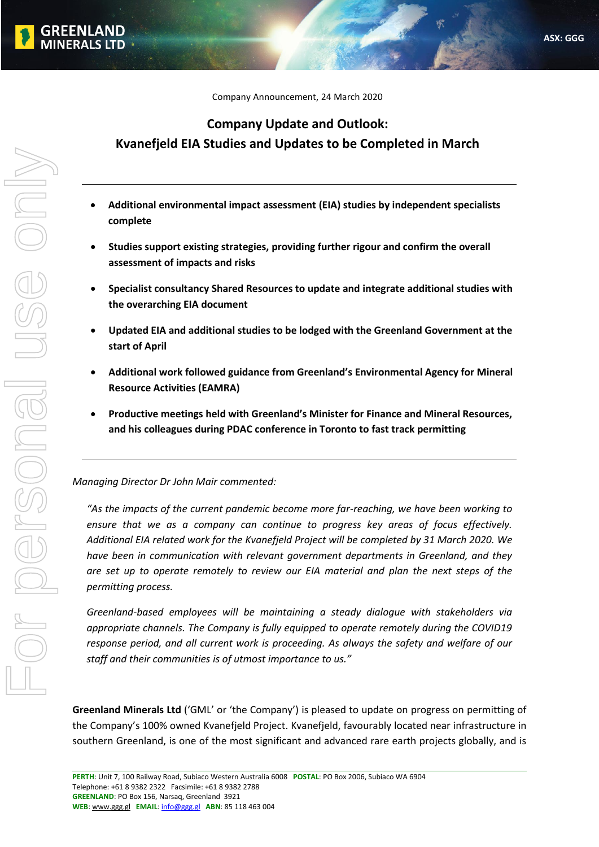Company Announcement, 24 March 2020

# **Company Update and Outlook: Kvanefjeld EIA Studies and Updates to be Completed in March**

- **Additional environmental impact assessment (EIA) studies by independent specialists complete**
- **Studies support existing strategies, providing further rigour and confirm the overall assessment of impacts and risks**
- **Specialist consultancy Shared Resources to update and integrate additional studies with the overarching EIA document**
- **Updated EIA and additional studies to be lodged with the Greenland Government at the start of April**
- **Additional work followed guidance from Greenland's Environmental Agency for Mineral Resource Activities (EAMRA)**
- **Productive meetings held with Greenland's Minister for Finance and Mineral Resources, and his colleagues during PDAC conference in Toronto to fast track permitting**

# *Managing Director Dr John Mair commented:*

*"As the impacts of the current pandemic become more far-reaching, we have been working to ensure that we as a company can continue to progress key areas of focus effectively. Additional EIA related work for the Kvanefjeld Project will be completed by 31 March 2020. We have been in communication with relevant government departments in Greenland, and they are set up to operate remotely to review our EIA material and plan the next steps of the permitting process.* 

*Greenland-based employees will be maintaining a steady dialogue with stakeholders via appropriate channels. The Company is fully equipped to operate remotely during the COVID19 response period, and all current work is proceeding. As always the safety and welfare of our staff and their communities is of utmost importance to us."*

**Greenland Minerals Ltd** ('GML' or 'the Company') is pleased to update on progress on permitting of the Company's 100% owned Kvanefjeld Project. Kvanefjeld, favourably located near infrastructure in southern Greenland, is one of the most significant and advanced rare earth projects globally, and is

**FFNLAND MINERALS LTD**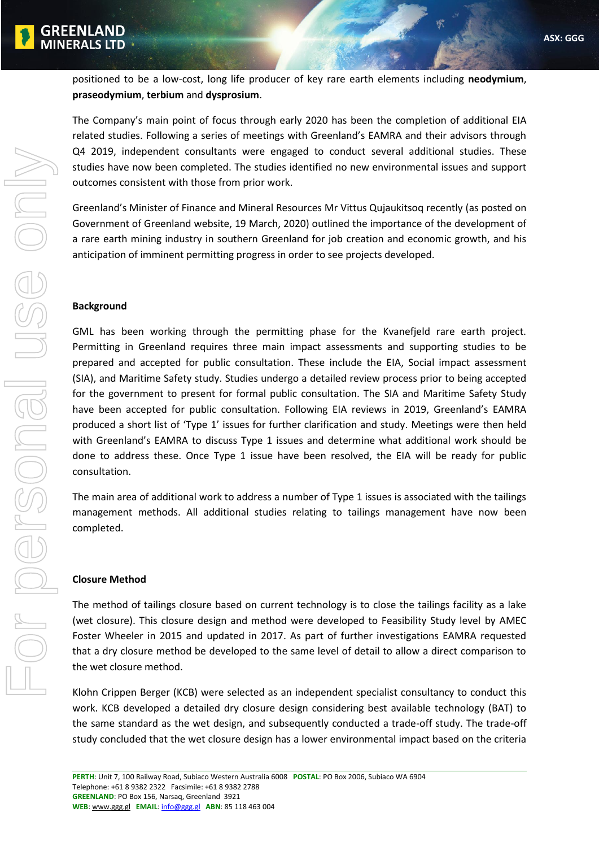

positioned to be a low-cost, long life producer of key rare earth elements including **neodymium**, **praseodymium**, **terbium** and **dysprosium**.

The Company's main point of focus through early 2020 has been the completion of additional EIA related studies. Following a series of meetings with Greenland's EAMRA and their advisors through Q4 2019, independent consultants were engaged to conduct several additional studies. These studies have now been completed. The studies identified no new environmental issues and support outcomes consistent with those from prior work.

Greenland's Minister of Finance and Mineral Resources Mr Vittus Qujaukitsoq recently (as posted on Government of Greenland website, 19 March, 2020) outlined the importance of the development of a rare earth mining industry in southern Greenland for job creation and economic growth, and his anticipation of imminent permitting progress in order to see projects developed.

# **Background**

GML has been working through the permitting phase for the Kvanefjeld rare earth project. Permitting in Greenland requires three main impact assessments and supporting studies to be prepared and accepted for public consultation. These include the EIA, Social impact assessment (SIA), and Maritime Safety study. Studies undergo a detailed review process prior to being accepted for the government to present for formal public consultation. The SIA and Maritime Safety Study have been accepted for public consultation. Following EIA reviews in 2019, Greenland's EAMRA produced a short list of 'Type 1' issues for further clarification and study. Meetings were then held with Greenland's EAMRA to discuss Type 1 issues and determine what additional work should be done to address these. Once Type 1 issue have been resolved, the EIA will be ready for public consultation.

The main area of additional work to address a number of Type 1 issues is associated with the tailings management methods. All additional studies relating to tailings management have now been completed.

# **Closure Method**

The method of tailings closure based on current technology is to close the tailings facility as a lake (wet closure). This closure design and method were developed to Feasibility Study level by AMEC Foster Wheeler in 2015 and updated in 2017. As part of further investigations EAMRA requested that a dry closure method be developed to the same level of detail to allow a direct comparison to the wet closure method.

Klohn Crippen Berger (KCB) were selected as an independent specialist consultancy to conduct this work. KCB developed a detailed dry closure design considering best available technology (BAT) to the same standard as the wet design, and subsequently conducted a trade-off study. The trade-off study concluded that the wet closure design has a lower environmental impact based on the criteria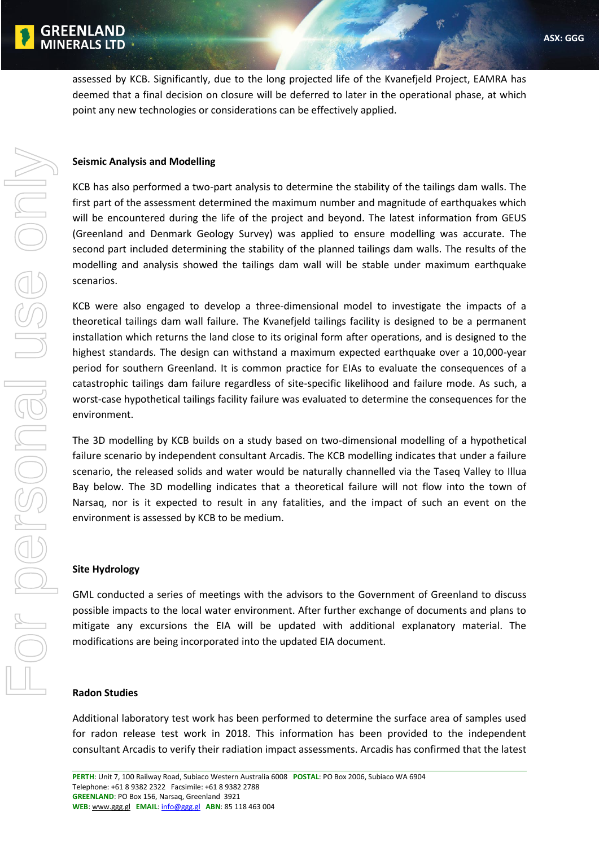

assessed by KCB. Significantly, due to the long projected life of the Kvanefjeld Project, EAMRA has deemed that a final decision on closure will be deferred to later in the operational phase, at which point any new technologies or considerations can be effectively applied.

# **Seismic Analysis and Modelling**

KCB has also performed a two-part analysis to determine the stability of the tailings dam walls. The first part of the assessment determined the maximum number and magnitude of earthquakes which will be encountered during the life of the project and beyond. The latest information from GEUS (Greenland and Denmark Geology Survey) was applied to ensure modelling was accurate. The second part included determining the stability of the planned tailings dam walls. The results of the modelling and analysis showed the tailings dam wall will be stable under maximum earthquake scenarios.

KCB were also engaged to develop a three-dimensional model to investigate the impacts of a theoretical tailings dam wall failure. The Kvanefjeld tailings facility is designed to be a permanent installation which returns the land close to its original form after operations, and is designed to the highest standards. The design can withstand a maximum expected earthquake over a 10,000-year period for southern Greenland. It is common practice for EIAs to evaluate the consequences of a catastrophic tailings dam failure regardless of site-specific likelihood and failure mode. As such, a worst-case hypothetical tailings facility failure was evaluated to determine the consequences for the environment.

The 3D modelling by KCB builds on a study based on two-dimensional modelling of a hypothetical failure scenario by independent consultant Arcadis. The KCB modelling indicates that under a failure scenario, the released solids and water would be naturally channelled via the Taseq Valley to Illua Bay below. The 3D modelling indicates that a theoretical failure will not flow into the town of Narsaq, nor is it expected to result in any fatalities, and the impact of such an event on the environment is assessed by KCB to be medium.

#### **Site Hydrology**

GML conducted a series of meetings with the advisors to the Government of Greenland to discuss possible impacts to the local water environment. After further exchange of documents and plans to mitigate any excursions the EIA will be updated with additional explanatory material. The modifications are being incorporated into the updated EIA document.

#### **Radon Studies**

Additional laboratory test work has been performed to determine the surface area of samples used for radon release test work in 2018. This information has been provided to the independent consultant Arcadis to verify their radiation impact assessments. Arcadis has confirmed that the latest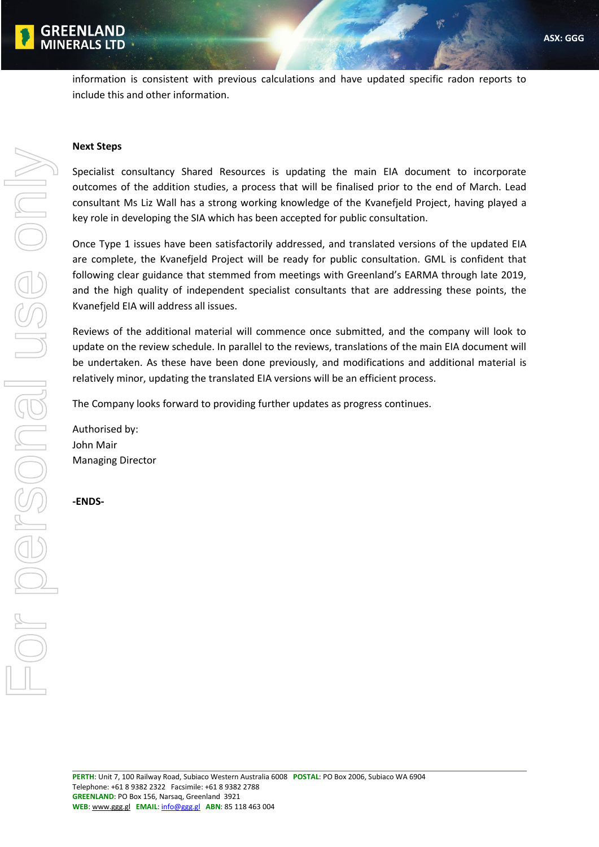

information is consistent with previous calculations and have updated specific radon reports to include this and other information.

#### **Next Steps**

Specialist consultancy Shared Resources is updating the main EIA document to incorporate outcomes of the addition studies, a process that will be finalised prior to the end of March. Lead consultant Ms Liz Wall has a strong working knowledge of the Kvanefjeld Project, having played a key role in developing the SIA which has been accepted for public consultation.

Once Type 1 issues have been satisfactorily addressed, and translated versions of the updated EIA are complete, the Kvanefjeld Project will be ready for public consultation. GML is confident that following clear guidance that stemmed from meetings with Greenland's EARMA through late 2019, and the high quality of independent specialist consultants that are addressing these points, the Kvanefjeld EIA will address all issues.

Reviews of the additional material will commence once submitted, and the company will look to update on the review schedule. In parallel to the reviews, translations of the main EIA document will be undertaken. As these have been done previously, and modifications and additional material is relatively minor, updating the translated EIA versions will be an efficient process.

The Company looks forward to providing further updates as progress continues.

Authorised by: John Mair Managing Director

**-ENDS-**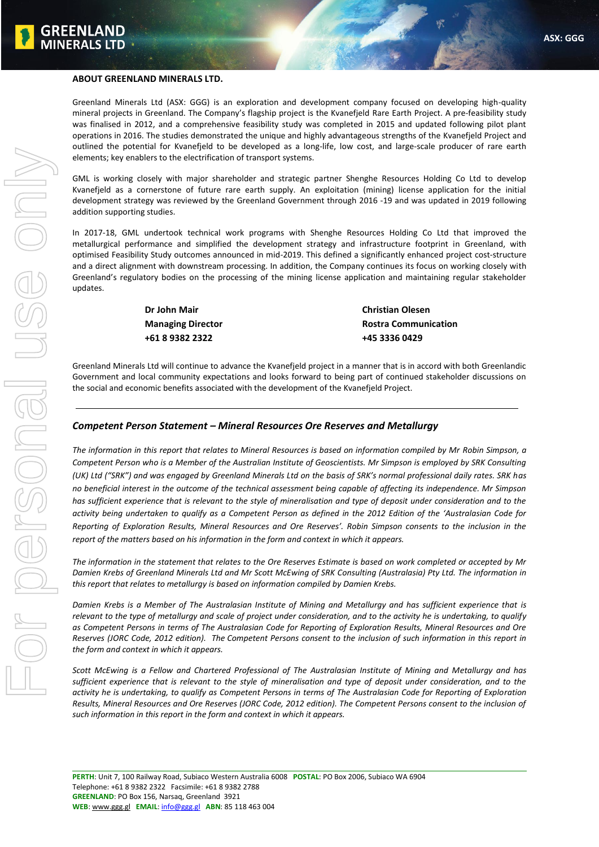

#### **ABOUT GREENLAND MINERALS LTD.**

Greenland Minerals Ltd (ASX: GGG) is an exploration and development company focused on developing high-quality mineral projects in Greenland. The Company's flagship project is the Kvanefjeld Rare Earth Project. A pre-feasibility study was finalised in 2012, and a comprehensive feasibility study was completed in 2015 and updated following pilot plant operations in 2016. The studies demonstrated the unique and highly advantageous strengths of the Kvanefjeld Project and outlined the potential for Kvanefjeld to be developed as a long-life, low cost, and large-scale producer of rare earth elements; key enablers to the electrification of transport systems.

GML is working closely with major shareholder and strategic partner Shenghe Resources Holding Co Ltd to develop Kvanefjeld as a cornerstone of future rare earth supply. An exploitation (mining) license application for the initial development strategy was reviewed by the Greenland Government through 2016 -19 and was updated in 2019 following addition supporting studies.

In 2017-18, GML undertook technical work programs with Shenghe Resources Holding Co Ltd that improved the metallurgical performance and simplified the development strategy and infrastructure footprint in Greenland, with optimised Feasibility Study outcomes announced in mid-2019. This defined a significantly enhanced project cost-structure and a direct alignment with downstream processing. In addition, the Company continues its focus on working closely with Greenland's regulatory bodies on the processing of the mining license application and maintaining regular stakeholder updates.

> **Dr John Mair Christian Olesen +61 8 9382 2322 +45 3336 0429**

**Managing Director Communication** Rostra Communication

Greenland Minerals Ltd will continue to advance the Kvanefjeld project in a manner that is in accord with both Greenlandic Government and local community expectations and looks forward to being part of continued stakeholder discussions on the social and economic benefits associated with the development of the Kvanefjeld Project.

#### *Competent Person Statement – Mineral Resources Ore Reserves and Metallurgy*

*The information in this report that relates to Mineral Resources is based on information compiled by Mr Robin Simpson, a Competent Person who is a Member of the Australian Institute of Geoscientists. Mr Simpson is employed by SRK Consulting (UK) Ltd ("SRK") and was engaged by Greenland Minerals Ltd on the basis of SRK's normal professional daily rates. SRK has no beneficial interest in the outcome of the technical assessment being capable of affecting its independence. Mr Simpson has sufficient experience that is relevant to the style of mineralisation and type of deposit under consideration and to the activity being undertaken to qualify as a Competent Person as defined in the 2012 Edition of the 'Australasian Code for Reporting of Exploration Results, Mineral Resources and Ore Reserves'. Robin Simpson consents to the inclusion in the report of the matters based on his information in the form and context in which it appears.*

*The information in the statement that relates to the Ore Reserves Estimate is based on work completed or accepted by Mr Damien Krebs of Greenland Minerals Ltd and Mr Scott McEwing of SRK Consulting (Australasia) Pty Ltd. The information in this report that relates to metallurgy is based on information compiled by Damien Krebs.* 

*Damien Krebs is a Member of The Australasian Institute of Mining and Metallurgy and has sufficient experience that is relevant to the type of metallurgy and scale of project under consideration, and to the activity he is undertaking, to qualify as Competent Persons in terms of The Australasian Code for Reporting of Exploration Results, Mineral Resources and Ore Reserves (JORC Code, 2012 edition). The Competent Persons consent to the inclusion of such information in this report in the form and context in which it appears.*

*Scott McEwing is a Fellow and Chartered Professional of The Australasian Institute of Mining and Metallurgy and has sufficient experience that is relevant to the style of mineralisation and type of deposit under consideration, and to the activity he is undertaking, to qualify as Competent Persons in terms of The Australasian Code for Reporting of Exploration Results, Mineral Resources and Ore Reserves (JORC Code, 2012 edition). The Competent Persons consent to the inclusion of such information in this report in the form and context in which it appears.*